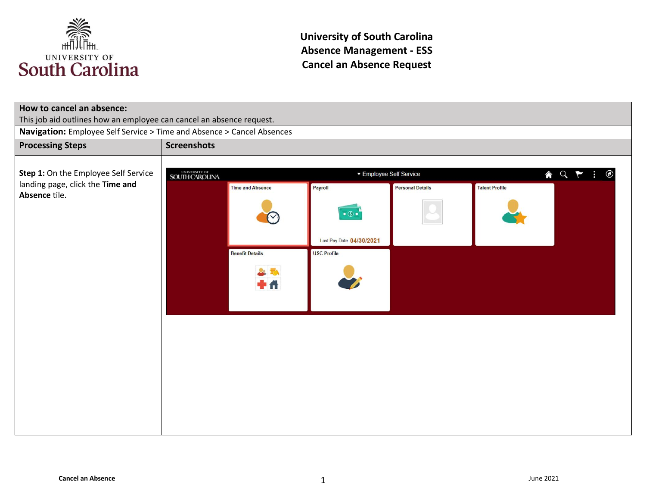

| How to cancel an absence:                                              |                              |                                  |                          |                         |                       |  |  |
|------------------------------------------------------------------------|------------------------------|----------------------------------|--------------------------|-------------------------|-----------------------|--|--|
| This job aid outlines how an employee can cancel an absence request.   |                              |                                  |                          |                         |                       |  |  |
| Navigation: Employee Self Service > Time and Absence > Cancel Absences |                              |                                  |                          |                         |                       |  |  |
| <b>Processing Steps</b>                                                | <b>Screenshots</b>           |                                  |                          |                         |                       |  |  |
| Step 1: On the Employee Self Service                                   | UNIVERSITY OF SOUTH CAROLINA | A Q P<br>▼ Employee Self Service |                          |                         |                       |  |  |
| landing page, click the Time and                                       |                              | <b>Time and Absence</b>          | Payroll                  | <b>Personal Details</b> | <b>Talent Profile</b> |  |  |
| Absence tile.                                                          |                              |                                  | $\bullet$ $\circledcirc$ |                         |                       |  |  |
|                                                                        |                              |                                  | Last Pay Date 04/30/2021 |                         |                       |  |  |
|                                                                        |                              | <b>Benefit Details</b>           | <b>USC Profile</b>       |                         |                       |  |  |
|                                                                        |                              |                                  |                          |                         |                       |  |  |
|                                                                        |                              |                                  |                          |                         |                       |  |  |
|                                                                        |                              |                                  |                          |                         |                       |  |  |
|                                                                        |                              |                                  |                          |                         |                       |  |  |
|                                                                        |                              |                                  |                          |                         |                       |  |  |
|                                                                        |                              |                                  |                          |                         |                       |  |  |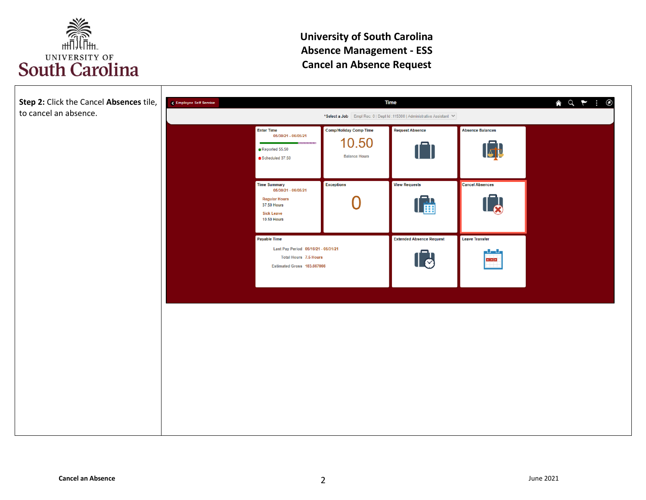

| Step 2: Click the Cancel Absences tile,<br>to cancel an absence. | $\land$ Q $\uparrow$ :<br>$\circledcirc$<br><b>Time</b><br><b>C</b> Employee Self Service<br>*Select a Job Empl Rec: 0   Dept Id: 115300   Administrative Assistant V                                                                            |  |  |
|------------------------------------------------------------------|--------------------------------------------------------------------------------------------------------------------------------------------------------------------------------------------------------------------------------------------------|--|--|
|                                                                  | <b>Enter Time</b><br><b>Comp/Holiday Comp Time</b><br><b>Request Absence</b><br><b>Absence Balances</b><br>05/30/21 - 06/05/21<br>10.50<br>用用用用用用<br>$\sqrt{\frac{1}{\Delta}}$<br>î<br>Reported 55.50<br><b>Balance Hours</b><br>Scheduled 37.50 |  |  |
|                                                                  | <b>Time Summary</b><br>Exceptions<br><b>View Requests</b><br><b>Cancel Absences</b><br>05/30/21 - 06/05/21<br><b>Regular Hours</b><br><b>The Line</b><br><b>37.50 Hours</b><br><b>Sick Leave</b><br><b>10.50 Hours</b>                           |  |  |
|                                                                  | Payable Time<br><b>Extended Absence Request</b><br><b>Leave Transfer</b><br>Last Pay Period 05/16/21 - 05/31/21<br>والسال<br>$\llbracket \bullet \rrbracket$<br><b>Total Hours 7.5 Hours</b><br>x[x]<br>Estimated Gross 183.667066               |  |  |
|                                                                  |                                                                                                                                                                                                                                                  |  |  |
|                                                                  |                                                                                                                                                                                                                                                  |  |  |
|                                                                  |                                                                                                                                                                                                                                                  |  |  |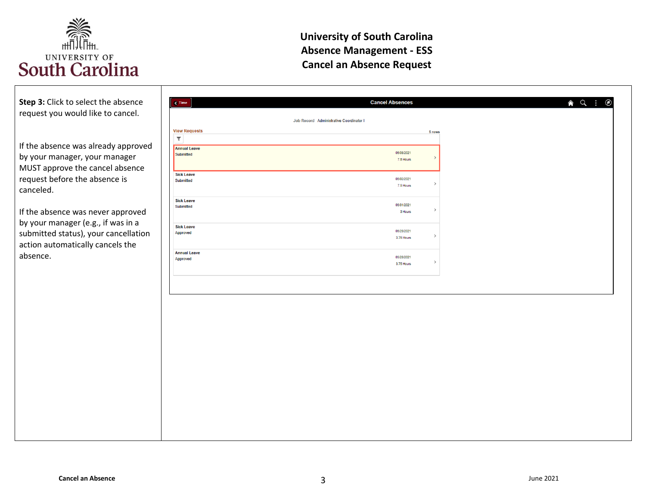

| Step 3: Click to select the absence<br>request you would like to cancel.                                                                            | $\epsilon$ Time                                  | <b>Cancel Absences</b><br><b>Q</b><br>⇑ |
|-----------------------------------------------------------------------------------------------------------------------------------------------------|--------------------------------------------------|-----------------------------------------|
|                                                                                                                                                     |                                                  | Job Record Administrative Coordinator I |
| If the absence was already approved                                                                                                                 | <b>View Requests</b><br>Y<br><b>Annual Leave</b> | 5 rows                                  |
| by your manager, your manager<br>MUST approve the cancel absence                                                                                    | Submitted                                        | 06/08/2021<br>7.5 Hours                 |
| request before the absence is<br>canceled.                                                                                                          | <b>Sick Leave</b><br>Submitted                   | 08/02/2021<br>7.5 Hours                 |
| If the absence was never approved<br>by your manager (e.g., if was in a<br>submitted status), your cancellation<br>action automatically cancels the | <b>Sick Leave</b><br>Submitted                   | 08/01/2021<br>3 Hours                   |
|                                                                                                                                                     | <b>Sick Leave</b><br>Approved                    | 05/28/2021<br>3.75 Hours                |
| absence.                                                                                                                                            | <b>Annual Leave</b><br>Approved                  | 05/28/2021<br>3.75 Hours                |
|                                                                                                                                                     |                                                  |                                         |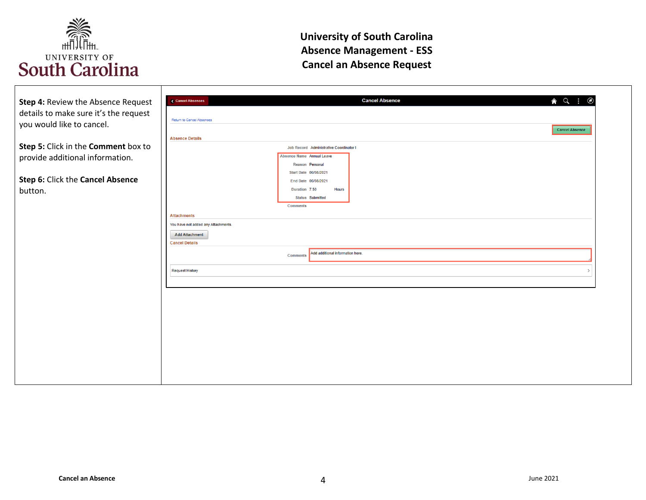

| Step 4: Review the Absence Request    | $\odot$<br><b>Cancel Absence</b><br>$\land$ $\circ$ :<br><b>Cancel Absences</b> |
|---------------------------------------|---------------------------------------------------------------------------------|
|                                       |                                                                                 |
| details to make sure it's the request | Return to Cancel Absences                                                       |
| you would like to cancel.             | <b>Cancel Absence</b>                                                           |
|                                       | <b>Absence Details</b>                                                          |
| Step 5: Click in the Comment box to   | Job Record Administrative Coordinator I                                         |
| provide additional information.       | Absence Name Annual Leave                                                       |
|                                       | Reason Personal                                                                 |
|                                       | Start Date 06/08/2021                                                           |
| Step 6: Click the Cancel Absence      | End Date 06/08/2021                                                             |
| button.                               | Duration 7.50<br><b>Hours</b>                                                   |
|                                       | <b>Status</b> Submitted<br><b>Comments</b>                                      |
|                                       |                                                                                 |
|                                       | <b>Attachments</b><br>You have not added any Attachments.                       |
|                                       |                                                                                 |
|                                       | <b>Add Attachment</b><br><b>Cancel Details</b>                                  |
|                                       |                                                                                 |
|                                       | Add additional information here.<br><b>Comments</b>                             |
|                                       | <b>Request History</b>                                                          |
|                                       |                                                                                 |
|                                       |                                                                                 |
|                                       |                                                                                 |
|                                       |                                                                                 |
|                                       |                                                                                 |
|                                       |                                                                                 |
|                                       |                                                                                 |
|                                       |                                                                                 |
|                                       |                                                                                 |
|                                       |                                                                                 |
|                                       |                                                                                 |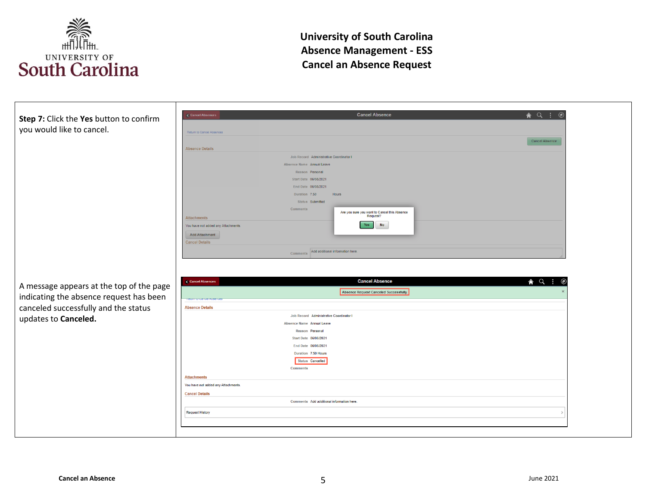

| Step 7: Click the Yes button to confirm  | <b>A</b> Q :<br><b>Cancel Absence</b><br>$\circ$<br>Cancel Absences              |
|------------------------------------------|----------------------------------------------------------------------------------|
| you would like to cancel.                | Return to Cancel Absences                                                        |
|                                          | Cancel Absence<br><b>Absence Details</b>                                         |
|                                          | Job Record Administrative Coordinator I                                          |
|                                          | Absence Name Annual Leave                                                        |
|                                          | Reason Personal                                                                  |
|                                          | Start Date 06/08/2021                                                            |
|                                          | End Date 06/08/2021                                                              |
|                                          | Duration 7.50<br>Hours                                                           |
|                                          | Status Submitted                                                                 |
|                                          | <b>Comments</b><br>Are you sure you want to Cancel this Absence<br>Request?      |
|                                          | <b>Attachments</b><br><b>No</b><br>Yes                                           |
|                                          | You have not added any Attachments                                               |
|                                          | <b>Add Attachment</b><br><b>Cancel Details</b>                                   |
|                                          |                                                                                  |
|                                          | Comments Add additional information here.                                        |
|                                          | <b>Cancel Absence</b><br>$\land$ $\alpha$ :<br>Cancel Absences<br>$\circledcirc$ |
| A message appears at the top of the page | Absence Request Canceled Successfully.                                           |
| indicating the absence request has been  |                                                                                  |
| canceled successfully and the status     | <b>Absence Details</b>                                                           |
| updates to Canceled.                     | Job Record Administrative Coordinator I<br>Absence Name Annual Leave             |
|                                          | Reason Personal                                                                  |
|                                          | Start Date 06/08/2021                                                            |
|                                          | End Date 06/08/2021                                                              |
|                                          | Duration 7.50 Hours                                                              |
|                                          | <b>Status</b> Cancelled                                                          |
|                                          | <b>Comments</b>                                                                  |
|                                          | <b>Attachments</b>                                                               |
|                                          | You have not added any Attachments.                                              |
|                                          | <b>Cancel Details</b>                                                            |
|                                          | Comments Add additional information here.                                        |
|                                          | <b>Request History</b>                                                           |
|                                          |                                                                                  |
|                                          |                                                                                  |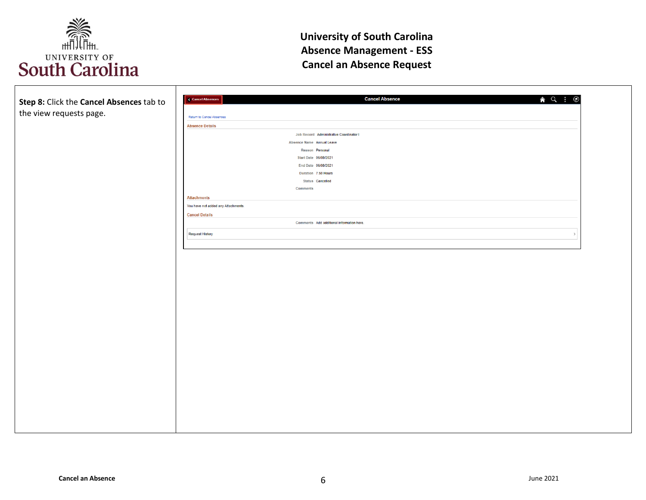

| Step 8: Click the Cancel Absences tab to | <b>Cancel Absence</b><br><b>Cancel Absences</b> | $\land$ $\lor$ $\vdots$<br>$\circledcirc$ |
|------------------------------------------|-------------------------------------------------|-------------------------------------------|
|                                          |                                                 |                                           |
| the view requests page.                  | Return to Cancel Absences                       |                                           |
|                                          | <b>Absence Details</b>                          |                                           |
|                                          | Job Record Administrative Coordinator I         |                                           |
|                                          | Absence Name Annual Leave                       |                                           |
|                                          | Reason Personal                                 |                                           |
|                                          | Start Date 06/08/2021                           |                                           |
|                                          | End Date 06/08/2021                             |                                           |
|                                          | Duration 7.50 Hours                             |                                           |
|                                          | <b>Status</b> Cancelled                         |                                           |
|                                          | <b>Comments</b>                                 |                                           |
|                                          | <b>Attachments</b>                              |                                           |
|                                          | You have not added any Attachments.             |                                           |
|                                          | <b>Cancel Details</b>                           |                                           |
|                                          | Comments Add additional information here.       |                                           |
|                                          |                                                 |                                           |
|                                          | <b>Request History</b>                          | $\rightarrow$                             |
|                                          |                                                 |                                           |
|                                          |                                                 |                                           |
|                                          |                                                 |                                           |
|                                          |                                                 |                                           |
|                                          |                                                 |                                           |
|                                          |                                                 |                                           |
|                                          |                                                 |                                           |
|                                          |                                                 |                                           |
|                                          |                                                 |                                           |
|                                          |                                                 |                                           |
|                                          |                                                 |                                           |